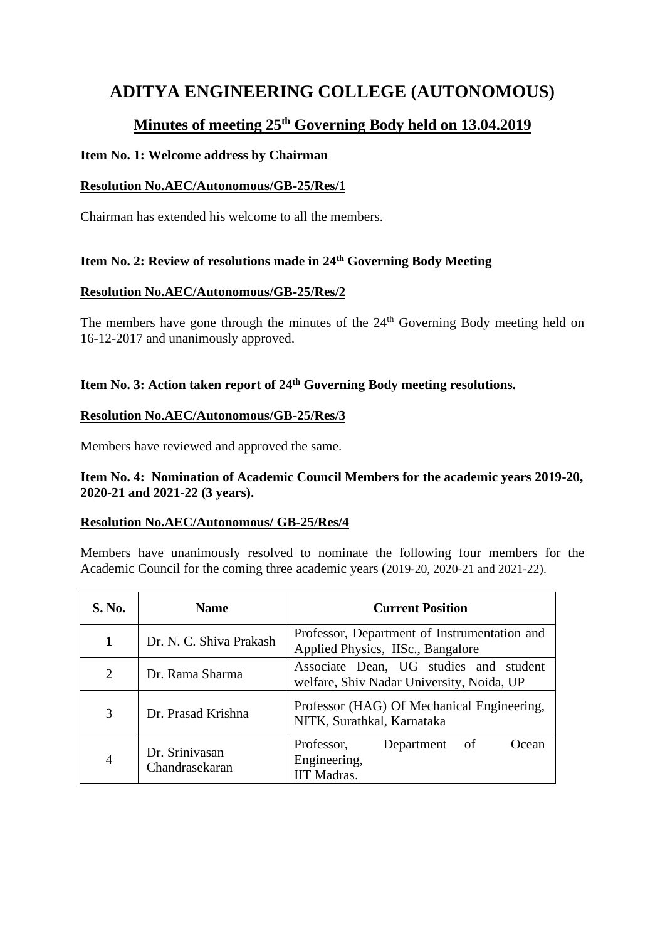# **ADITYA ENGINEERING COLLEGE (AUTONOMOUS)**

## **Minutes of meeting 25th Governing Body held on 13.04.2019**

## **Item No. 1: Welcome address by Chairman**

## **Resolution No.AEC/Autonomous/GB-25/Res/1**

Chairman has extended his welcome to all the members.

## **Item No. 2: Review of resolutions made in 24 th Governing Body Meeting**

## **Resolution No.AEC/Autonomous/GB-25/Res/2**

The members have gone through the minutes of the  $24<sup>th</sup>$  Governing Body meeting held on 16-12-2017 and unanimously approved.

## **Item No. 3: Action taken report of 24th Governing Body meeting resolutions.**

## **Resolution No.AEC/Autonomous/GB-25/Res/3**

Members have reviewed and approved the same.

## **Item No. 4: Nomination of Academic Council Members for the academic years 2019-20, 2020-21 and 2021-22 (3 years).**

## **Resolution No.AEC/Autonomous/ GB-25/Res/4**

Members have unanimously resolved to nominate the following four members for the Academic Council for the coming three academic years (2019-20, 2020-21 and 2021-22).

| S. No.         | <b>Name</b>                      | <b>Current Position</b>                                                             |
|----------------|----------------------------------|-------------------------------------------------------------------------------------|
| 1              | Dr. N. C. Shiva Prakash          | Professor, Department of Instrumentation and<br>Applied Physics, IISc., Bangalore   |
| $\overline{2}$ | Dr. Rama Sharma                  | Associate Dean, UG studies and student<br>welfare, Shiv Nadar University, Noida, UP |
| 3              | Dr. Prasad Krishna               | Professor (HAG) Of Mechanical Engineering,<br>NITK, Surathkal, Karnataka            |
| $\overline{4}$ | Dr. Srinivasan<br>Chandrasekaran | Professor,<br>Department<br>of<br>Ocean<br>Engineering,<br><b>IIT Madras.</b>       |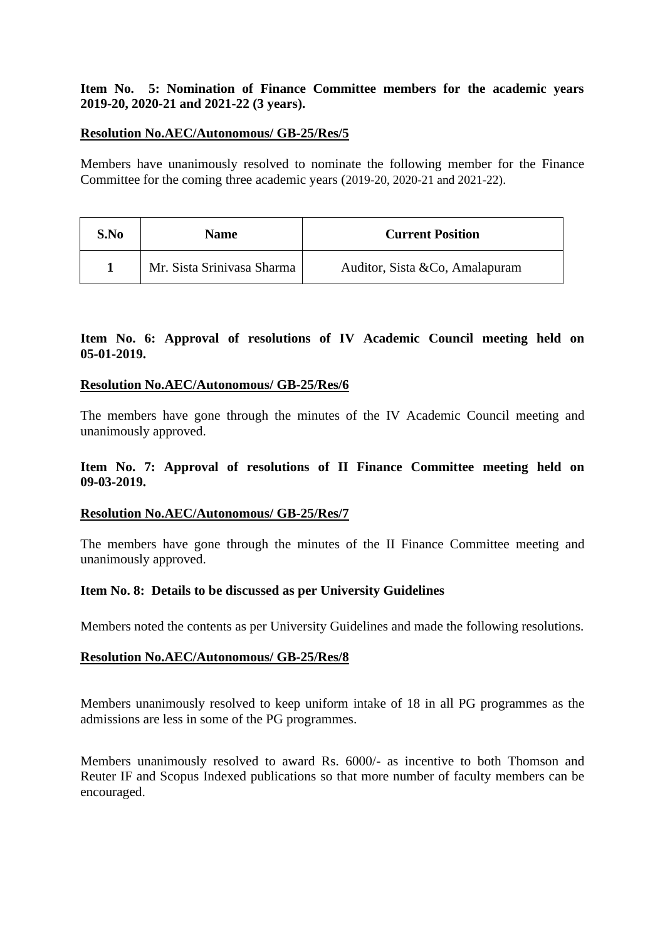## **Item No. 5: Nomination of Finance Committee members for the academic years 2019-20, 2020-21 and 2021-22 (3 years).**

## **Resolution No.AEC/Autonomous/ GB-25/Res/5**

Members have unanimously resolved to nominate the following member for the Finance Committee for the coming three academic years (2019-20, 2020-21 and 2021-22).

| S.No | <b>Name</b>                | <b>Current Position</b>         |
|------|----------------------------|---------------------------------|
|      | Mr. Sista Srinivasa Sharma | Auditor, Sista & Co, Amalapuram |

## **Item No. 6: Approval of resolutions of IV Academic Council meeting held on 05-01-2019.**

## **Resolution No.AEC/Autonomous/ GB-25/Res/6**

The members have gone through the minutes of the IV Academic Council meeting and unanimously approved.

## **Item No. 7: Approval of resolutions of II Finance Committee meeting held on 09-03-2019.**

## **Resolution No.AEC/Autonomous/ GB-25/Res/7**

The members have gone through the minutes of the II Finance Committee meeting and unanimously approved.

## **Item No. 8: Details to be discussed as per University Guidelines**

Members noted the contents as per University Guidelines and made the following resolutions.

## **Resolution No.AEC/Autonomous/ GB-25/Res/8**

Members unanimously resolved to keep uniform intake of 18 in all PG programmes as the admissions are less in some of the PG programmes.

Members unanimously resolved to award Rs. 6000/- as incentive to both Thomson and Reuter IF and Scopus Indexed publications so that more number of faculty members can be encouraged.